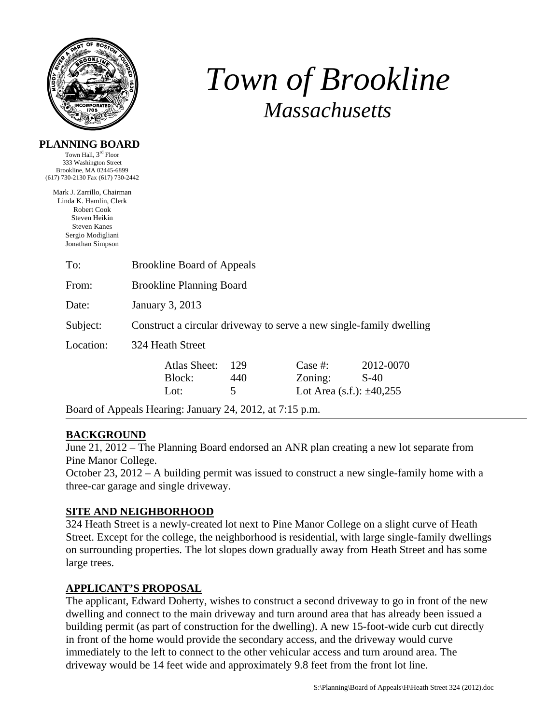

# *Town of Brookline Massachusetts*

#### **PLANNING BOARD**

Town Hall, 3rd Floor 333 Washington Street Brookline, MA 02445-6899 (617) 730-2130 Fax (617) 730-2442

Mark J. Zarrillo, Chairman Linda K. Hamlin, Clerk Robert Cook Steven Heikin Steven Kanes Sergio Modigliani Jonathan Simpson

| To:       | <b>Brookline Board of Appeals</b>                                   |                 |                                                      |                     |  |  |
|-----------|---------------------------------------------------------------------|-----------------|------------------------------------------------------|---------------------|--|--|
| From:     | <b>Brookline Planning Board</b>                                     |                 |                                                      |                     |  |  |
| Date:     | January 3, 2013                                                     |                 |                                                      |                     |  |  |
| Subject:  | Construct a circular driveway to serve a new single-family dwelling |                 |                                                      |                     |  |  |
| Location: | 324 Heath Street                                                    |                 |                                                      |                     |  |  |
|           | Atlas Sheet:<br>Block:<br>Lot:                                      | 129<br>440<br>5 | Case  #:<br>Zoning:<br>Lot Area (s.f.): $\pm 40,255$ | 2012-0070<br>$S-40$ |  |  |

Board of Appeals Hearing: January 24, 2012, at 7:15 p.m.

# **BACKGROUND**

June 21, 2012 – The Planning Board endorsed an ANR plan creating a new lot separate from Pine Manor College.

October 23, 2012 – A building permit was issued to construct a new single-family home with a three-car garage and single driveway.

## **SITE AND NEIGHBORHOOD**

324 Heath Street is a newly-created lot next to Pine Manor College on a slight curve of Heath Street. Except for the college, the neighborhood is residential, with large single-family dwellings on surrounding properties. The lot slopes down gradually away from Heath Street and has some large trees.

## **APPLICANT'S PROPOSAL**

The applicant, Edward Doherty, wishes to construct a second driveway to go in front of the new dwelling and connect to the main driveway and turn around area that has already been issued a building permit (as part of construction for the dwelling). A new 15-foot-wide curb cut directly in front of the home would provide the secondary access, and the driveway would curve immediately to the left to connect to the other vehicular access and turn around area. The driveway would be 14 feet wide and approximately 9.8 feet from the front lot line.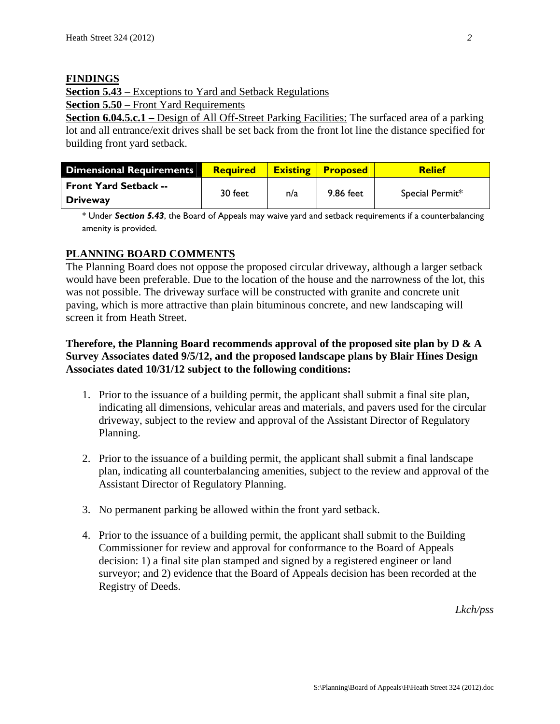#### **FINDINGS**

**Section 5.43** – Exceptions to Yard and Setback Regulations

**Section 5.50** – Front Yard Requirements

**Section 6.04.5.c.1** – Design of All Off-Street Parking Facilities: The surfaced area of a parking lot and all entrance/exit drives shall be set back from the front lot line the distance specified for building front yard setback.

| <b>Dimensional Requirements</b> | <b>Required</b> |     | <b>Existing Proposed</b> | <b>Relief</b>   |
|---------------------------------|-----------------|-----|--------------------------|-----------------|
| <b>Front Yard Setback --</b>    | 30 feet         | n/a | 9.86 feet                | Special Permit* |
| <b>Driveway</b>                 |                 |     |                          |                 |

\* Under *Section 5.43*, the Board of Appeals may waive yard and setback requirements if a counterbalancing amenity is provided.

## **PLANNING BOARD COMMENTS**

The Planning Board does not oppose the proposed circular driveway, although a larger setback would have been preferable. Due to the location of the house and the narrowness of the lot, this was not possible. The driveway surface will be constructed with granite and concrete unit paving, which is more attractive than plain bituminous concrete, and new landscaping will screen it from Heath Street.

## **Therefore, the Planning Board recommends approval of the proposed site plan by D & A Survey Associates dated 9/5/12, and the proposed landscape plans by Blair Hines Design Associates dated 10/31/12 subject to the following conditions:**

- 1. Prior to the issuance of a building permit, the applicant shall submit a final site plan, indicating all dimensions, vehicular areas and materials, and pavers used for the circular driveway, subject to the review and approval of the Assistant Director of Regulatory Planning.
- 2. Prior to the issuance of a building permit, the applicant shall submit a final landscape plan, indicating all counterbalancing amenities, subject to the review and approval of the Assistant Director of Regulatory Planning.
- 3. No permanent parking be allowed within the front yard setback.
- 4. Prior to the issuance of a building permit, the applicant shall submit to the Building Commissioner for review and approval for conformance to the Board of Appeals decision: 1) a final site plan stamped and signed by a registered engineer or land surveyor; and 2) evidence that the Board of Appeals decision has been recorded at the Registry of Deeds.

*Lkch/pss*